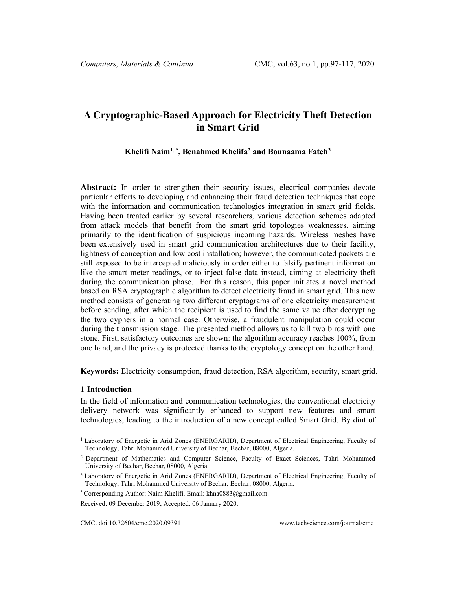# **A Cryptographic-Based Approach for Electricity Theft Detection in Smart Grid**

### **Khelifi Naim[1](#page-0-0), \* , Benahmed Khelifa[2](#page-0-1) and Bounaama Fateh[3](#page-0-2)**

Abstract: In order to strengthen their security issues, electrical companies devote particular efforts to developing and enhancing their fraud detection techniques that cope with the information and communication technologies integration in smart grid fields. Having been treated earlier by several researchers, various detection schemes adapted from attack models that benefit from the smart grid topologies weaknesses, aiming primarily to the identification of suspicious incoming hazards. Wireless meshes have been extensively used in smart grid communication architectures due to their facility, lightness of conception and low cost installation; however, the communicated packets are still exposed to be intercepted maliciously in order either to falsify pertinent information like the smart meter readings, or to inject false data instead, aiming at electricity theft during the communication phase. For this reason, this paper initiates a novel method based on RSA cryptographic algorithm to detect electricity fraud in smart grid. This new method consists of generating two different cryptograms of one electricity measurement before sending, after which the recipient is used to find the same value after decrypting the two cyphers in a normal case. Otherwise, a fraudulent manipulation could occur during the transmission stage. The presented method allows us to kill two birds with one stone. First, satisfactory outcomes are shown: the algorithm accuracy reaches 100%, from one hand, and the privacy is protected thanks to the cryptology concept on the other hand.

**Keywords:** Electricity consumption, fraud detection, RSA algorithm, security, smart grid.

#### **1 Introduction**

In the field of information and communication technologies, the conventional electricity delivery network was significantly enhanced to support new features and smart technologies, leading to the introduction of a new concept called Smart Grid. By dint of

<span id="page-0-0"></span><sup>&</sup>lt;sup>1</sup> Laboratory of Energetic in Arid Zones (ENERGARID), Department of Electrical Engineering, Faculty of Technology, Tahri Mohammed University of Bechar, Bechar, 08000, Algeria.

<span id="page-0-1"></span><sup>2</sup> Department of Mathematics and Computer Science, Faculty of Exact Sciences, Tahri Mohammed University of Bechar, Bechar, 08000, Algeria.

<span id="page-0-2"></span><sup>3</sup> Laboratory of Energetic in Arid Zones (ENERGARID), Department of Electrical Engineering, Faculty of Technology, Tahri Mohammed University of Bechar, Bechar, 08000, Algeria.

<sup>\*</sup> Corresponding Author: Naim Khelifi. Email: khna0883@gmail.com.

Received: 09 December 2019; Accepted: 06 January 2020.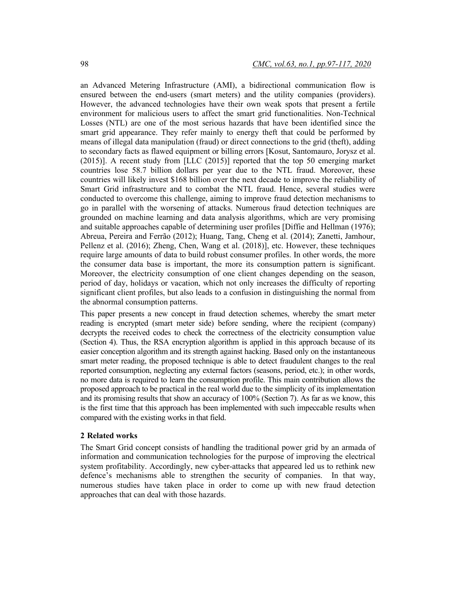an Advanced Metering Infrastructure (AMI), a bidirectional communication flow is ensured between the end-users (smart meters) and the utility companies (providers). However, the advanced technologies have their own weak spots that present a fertile environment for malicious users to affect the smart grid functionalities. Non-Technical Losses (NTL) are one of the most serious hazards that have been identified since the smart grid appearance. They refer mainly to energy theft that could be performed by means of illegal data manipulation (fraud) or direct connections to the grid (theft), adding to secondary facts as flawed equipment or billing errors [Kosut, Santomauro, Jorysz et al. (2015)]. A recent study from [LLC (2015)] reported that the top 50 emerging market countries lose 58.7 billion dollars per year due to the NTL fraud. Moreover, these countries will likely invest \$168 billion over the next decade to improve the reliability of Smart Grid infrastructure and to combat the NTL fraud. Hence, several studies were conducted to overcome this challenge, aiming to improve fraud detection mechanisms to go in parallel with the worsening of attacks. Numerous fraud detection techniques are grounded on machine learning and data analysis algorithms, which are very promising and suitable approaches capable of determining user profiles [Diffie and Hellman (1976); Abreua, Pereira and Ferrão (2012); Huang, Tang, Cheng et al. (2014); Zanetti, Jamhour, Pellenz et al. (2016); Zheng, Chen, Wang et al. (2018)], etc. However, these techniques require large amounts of data to build robust consumer profiles. In other words, the more the consumer data base is important, the more its consumption pattern is significant. Moreover, the electricity consumption of one client changes depending on the season, period of day, holidays or vacation, which not only increases the difficulty of reporting significant client profiles, but also leads to a confusion in distinguishing the normal from the abnormal consumption patterns.

This paper presents a new concept in fraud detection schemes, whereby the smart meter reading is encrypted (smart meter side) before sending, where the recipient (company) decrypts the received codes to check the correctness of the electricity consumption value (Section 4). Thus, the RSA encryption algorithm is applied in this approach because of its easier conception algorithm and its strength against hacking. Based only on the instantaneous smart meter reading, the proposed technique is able to detect fraudulent changes to the real reported consumption, neglecting any external factors (seasons, period, etc.); in other words, no more data is required to learn the consumption profile. This main contribution allows the proposed approach to be practical in the real world due to the simplicity of its implementation and its promising results that show an accuracy of 100% (Section 7). As far as we know, this is the first time that this approach has been implemented with such impeccable results when compared with the existing works in that field.

#### **2 Related works**

The Smart Grid concept consists of handling the traditional power grid by an armada of information and communication technologies for the purpose of improving the electrical system profitability. Accordingly, new cyber-attacks that appeared led us to rethink new defence's mechanisms able to strengthen the security of companies. In that way, numerous studies have taken place in order to come up with new fraud detection approaches that can deal with those hazards.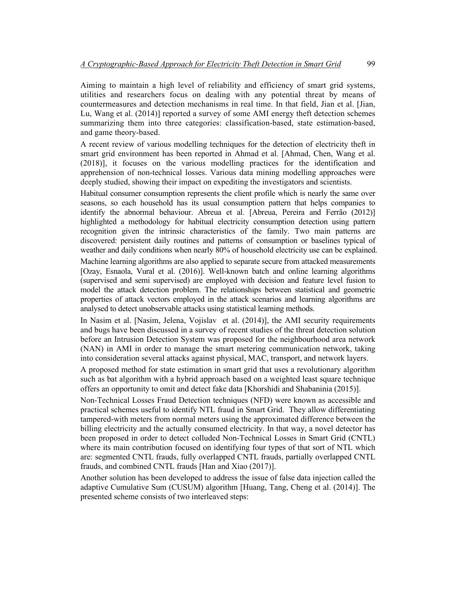Aiming to maintain a high level of reliability and efficiency of smart grid systems, utilities and researchers focus on dealing with any potential threat by means of countermeasures and detection mechanisms in real time. In that field, Jian et al. [Jian, Lu, Wang et al. (2014)] reported a survey of some AMI energy theft detection schemes summarizing them into three categories: classification-based, state estimation-based, and game theory-based.

A recent review of various modelling techniques for the detection of electricity theft in smart grid environment has been reported in Ahmad et al. [Ahmad, Chen, Wang et al. (2018)], it focuses on the various modelling practices for the identification and apprehension of non-technical losses. Various data mining modelling approaches were deeply studied, showing their impact on expediting the investigators and scientists.

Habitual consumer consumption represents the client profile which is nearly the same over seasons, so each household has its usual consumption pattern that helps companies to identify the abnormal behaviour. Abreua et al. [Abreua, Pereira and Ferrão (2012)] highlighted a methodology for habitual electricity consumption detection using pattern recognition given the intrinsic characteristics of the family. Two main patterns are discovered: persistent daily routines and patterns of consumption or baselines typical of weather and daily conditions when nearly 80% of household electricity use can be explained.

Machine learning algorithms are also applied to separate secure from attacked measurements [Ozay, Esnaola, Vural et al. (2016)]. Well-known batch and online learning algorithms (supervised and semi supervised) are employed with decision and feature level fusion to model the attack detection problem. The relationships between statistical and geometric properties of attack vectors employed in the attack scenarios and learning algorithms are analysed to detect unobservable attacks using statistical learning methods.

In Nasim et al. [Nasim, Jelena, Vojislav et al. (2014)], the AMI security requirements and bugs have been discussed in a survey of recent studies of the threat detection solution before an Intrusion Detection System was proposed for the neighbourhood area network (NAN) in AMI in order to manage the smart metering communication network, taking into consideration several attacks against physical, MAC, transport, and network layers.

A proposed method for state estimation in smart grid that uses a revolutionary algorithm such as bat algorithm with a hybrid approach based on a weighted least square technique offers an opportunity to omit and detect fake data [Khorshidi and Shabaninia (2015)].

Non-Technical Losses Fraud Detection techniques (NFD) were known as accessible and practical schemes useful to identify NTL fraud in Smart Grid. They allow differentiating tampered-with meters from normal meters using the approximated difference between the billing electricity and the actually consumed electricity. In that way, a novel detector has been proposed in order to detect colluded Non-Technical Losses in Smart Grid (CNTL) where its main contribution focused on identifying four types of that sort of NTL which are: segmented CNTL frauds, fully overlapped CNTL frauds, partially overlapped CNTL frauds, and combined CNTL frauds [Han and Xiao (2017)].

Another solution has been developed to address the issue of false data injection called the adaptive Cumulative Sum (CUSUM) algorithm [Huang, Tang, Cheng et al. (2014)]. The presented scheme consists of two interleaved steps: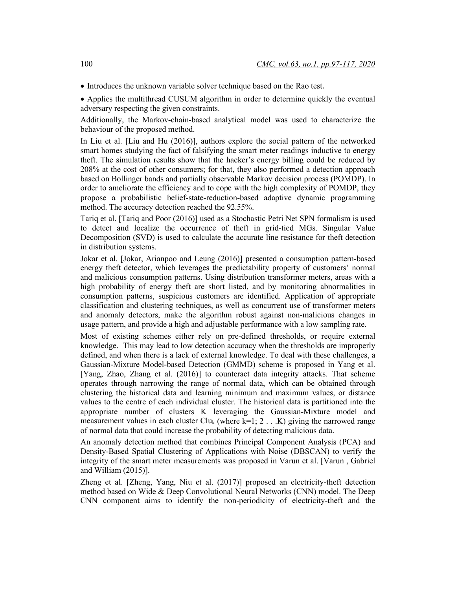• Introduces the unknown variable solver technique based on the Rao test.

• Applies the multithread CUSUM algorithm in order to determine quickly the eventual adversary respecting the given constraints.

Additionally, the Markov-chain-based analytical model was used to characterize the behaviour of the proposed method.

In Liu et al. [Liu and Hu (2016)], authors explore the social pattern of the networked smart homes studying the fact of falsifying the smart meter readings inductive to energy theft. The simulation results show that the hacker's energy billing could be reduced by 208% at the cost of other consumers; for that, they also performed a detection approach based on Bollinger bands and partially observable Markov decision process (POMDP). In order to ameliorate the efficiency and to cope with the high complexity of POMDP, they propose a probabilistic belief-state-reduction-based adaptive dynamic programming method. The accuracy detection reached the 92.55%.

Tariq et al. [Tariq and Poor (2016)] used as a Stochastic Petri Net SPN formalism is used to detect and localize the occurrence of theft in grid-tied MGs. Singular Value Decomposition (SVD) is used to calculate the accurate line resistance for theft detection in distribution systems.

Jokar et al. [Jokar, Arianpoo and Leung (2016)] presented a consumption pattern-based energy theft detector, which leverages the predictability property of customers' normal and malicious consumption patterns. Using distribution transformer meters, areas with a high probability of energy theft are short listed, and by monitoring abnormalities in consumption patterns, suspicious customers are identified. Application of appropriate classification and clustering techniques, as well as concurrent use of transformer meters and anomaly detectors, make the algorithm robust against non-malicious changes in usage pattern, and provide a high and adjustable performance with a low sampling rate.

Most of existing schemes either rely on pre-defined thresholds, or require external knowledge. This may lead to low detection accuracy when the thresholds are improperly defined, and when there is a lack of external knowledge. To deal with these challenges, a Gaussian-Mixture Model-based Detection (GMMD) scheme is proposed in Yang et al. [Yang, Zhao, Zhang et al. (2016)] to counteract data integrity attacks. That scheme operates through narrowing the range of normal data, which can be obtained through clustering the historical data and learning minimum and maximum values, or distance values to the centre of each individual cluster. The historical data is partitioned into the appropriate number of clusters K leveraging the Gaussian-Mixture model and measurement values in each cluster Clu<sub>k</sub> (where k=1; 2 . . .K) giving the narrowed range of normal data that could increase the probability of detecting malicious data.

An anomaly detection method that combines Principal Component Analysis (PCA) and Density-Based Spatial Clustering of Applications with Noise (DBSCAN) to verify the integrity of the smart meter measurements was proposed in Varun et al. [Varun , Gabriel and William (2015)].

Zheng et al. [Zheng, Yang, Niu et al. (2017)] proposed an electricity-theft detection method based on Wide & Deep Convolutional Neural Networks (CNN) model. The Deep CNN component aims to identify the non-periodicity of electricity-theft and the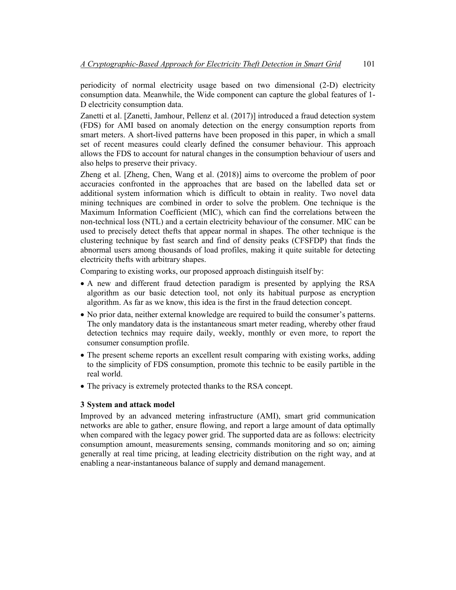periodicity of normal electricity usage based on two dimensional (2-D) electricity consumption data. Meanwhile, the Wide component can capture the global features of 1- D electricity consumption data.

Zanetti et al. [Zanetti, Jamhour, Pellenz et al. (2017)] introduced a fraud detection system (FDS) for AMI based on anomaly detection on the energy consumption reports from smart meters. A short-lived patterns have been proposed in this paper, in which a small set of recent measures could clearly defined the consumer behaviour. This approach allows the FDS to account for natural changes in the consumption behaviour of users and also helps to preserve their privacy.

Zheng et al. [Zheng, Chen, Wang et al. (2018)] aims to overcome the problem of poor accuracies confronted in the approaches that are based on the labelled data set or additional system information which is difficult to obtain in reality. Two novel data mining techniques are combined in order to solve the problem. One technique is the Maximum Information Coefficient (MIC), which can find the correlations between the non-technical loss (NTL) and a certain electricity behaviour of the consumer. MIC can be used to precisely detect thefts that appear normal in shapes. The other technique is the clustering technique by fast search and find of density peaks (CFSFDP) that finds the abnormal users among thousands of load profiles, making it quite suitable for detecting electricity thefts with arbitrary shapes.

Comparing to existing works, our proposed approach distinguish itself by:

- A new and different fraud detection paradigm is presented by applying the RSA algorithm as our basic detection tool, not only its habitual purpose as encryption algorithm. As far as we know, this idea is the first in the fraud detection concept.
- No prior data, neither external knowledge are required to build the consumer's patterns. The only mandatory data is the instantaneous smart meter reading, whereby other fraud detection technics may require daily, weekly, monthly or even more, to report the consumer consumption profile.
- The present scheme reports an excellent result comparing with existing works, adding to the simplicity of FDS consumption, promote this technic to be easily partible in the real world.
- The privacy is extremely protected thanks to the RSA concept.

# **3 System and attack model**

Improved by an advanced metering infrastructure (AMI), smart grid communication networks are able to gather, ensure flowing, and report a large amount of data optimally when compared with the legacy power grid. The supported data are as follows: electricity consumption amount, measurements sensing, commands monitoring and so on; aiming generally at real time pricing, at leading electricity distribution on the right way, and at enabling a near-instantaneous balance of supply and demand management.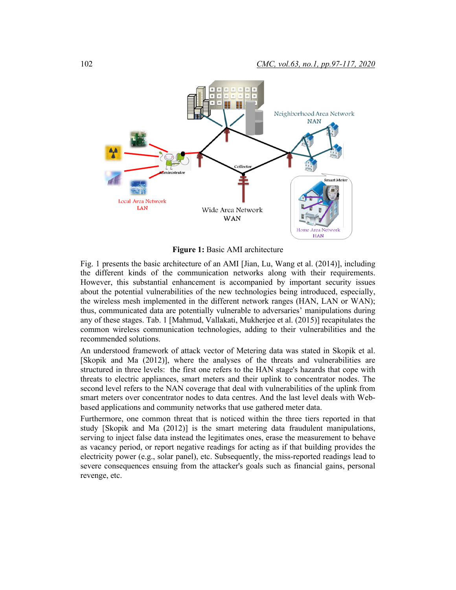

**Figure 1:** Basic AMI architecture

Fig. 1 presents the basic architecture of an AMI [Jian, Lu, Wang et al. (2014)], including the different kinds of the communication networks along with their requirements. However, this substantial enhancement is accompanied by important security issues about the potential vulnerabilities of the new technologies being introduced, especially, the wireless mesh implemented in the different network ranges (HAN, LAN or WAN); thus, communicated data are potentially vulnerable to adversaries' manipulations during any of these stages. Tab. 1 [Mahmud, Vallakati, Mukherjee et al. (2015)] recapitulates the common wireless communication technologies, adding to their vulnerabilities and the recommended solutions.

An understood framework of attack vector of Metering data was stated in Skopik et al. [Skopik and Ma (2012)], where the analyses of the threats and vulnerabilities are structured in three levels: the first one refers to the HAN stage's hazards that cope with threats to electric appliances, smart meters and their uplink to concentrator nodes. The second level refers to the NAN coverage that deal with vulnerabilities of the uplink from smart meters over concentrator nodes to data centres. And the last level deals with Webbased applications and community networks that use gathered meter data.

Furthermore, one common threat that is noticed within the three tiers reported in that study [Skopik and Ma (2012)] is the smart metering data fraudulent manipulations, serving to inject false data instead the legitimates ones, erase the measurement to behave as vacancy period, or report negative readings for acting as if that building provides the electricity power (e.g., solar panel), etc. Subsequently, the miss-reported readings lead to severe consequences ensuing from the attacker's goals such as financial gains, personal revenge, etc.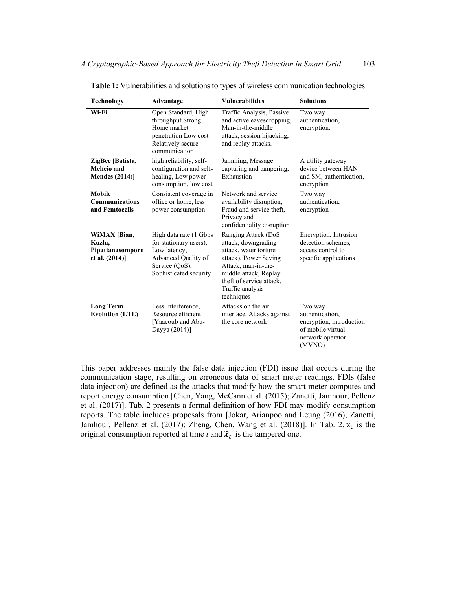| <b>Technology</b>                                             | Advantage                                                                                                                           | <b>Vulnerabilities</b>                                                                                                                                                                                     | <b>Solutions</b>                                                                                          |
|---------------------------------------------------------------|-------------------------------------------------------------------------------------------------------------------------------------|------------------------------------------------------------------------------------------------------------------------------------------------------------------------------------------------------------|-----------------------------------------------------------------------------------------------------------|
| Wi-Fi                                                         | Open Standard, High<br>throughput Strong<br>Home market<br>penetration Low cost<br>Relatively secure<br>communication               | Traffic Analysis, Passive<br>and active eavesdropping,<br>Man-in-the-middle<br>attack, session hijacking,<br>and replay attacks.                                                                           | Two way<br>authentication,<br>encryption.                                                                 |
| ZigBee [Batista,<br>Melício and<br><b>Mendes (2014)]</b>      | high reliability, self-<br>configuration and self-<br>healing, Low power<br>consumption, low cost                                   | Jamming, Message<br>capturing and tampering,<br>Exhaustion                                                                                                                                                 | A utility gateway<br>device between HAN<br>and SM, authentication,<br>encryption                          |
| <b>Mobile</b><br><b>Communications</b><br>and Femtocells      | Consistent coverage in<br>office or home, less<br>power consumption                                                                 | Network and service<br>availability disruption,<br>Fraud and service theft,<br>Privacy and<br>confidentiality disruption                                                                                   | Two way<br>authentication.<br>encryption                                                                  |
| WiMAX [Bian,<br>Kuzlu,<br>Pipattanasomporn<br>et al. $(2014)$ | High data rate (1 Gbps<br>for stationary users),<br>Low latency,<br>Advanced Quality of<br>Service (QoS),<br>Sophisticated security | Ranging Attack (DoS<br>attack, downgrading<br>attack, water torture<br>attack), Power Saving<br>Attack, man-in-the-<br>middle attack, Replay<br>theft of service attack,<br>Traffic analysis<br>techniques | Encryption, Intrusion<br>detection schemes.<br>access control to<br>specific applications                 |
| <b>Long Term</b><br><b>Evolution (LTE)</b>                    | Less Interference,<br>Resource efficient<br>[Yaacoub and Abu-<br>Dayya (2014)]                                                      | Attacks on the air<br>interface, Attacks against<br>the core network                                                                                                                                       | Two way<br>authentication.<br>encryption, introduction<br>of mobile virtual<br>network operator<br>(MVNO) |

**Table 1:** Vulnerabilities and solutions to types of wireless communication technologies

This paper addresses mainly the false data injection (FDI) issue that occurs during the communication stage, resulting on erroneous data of smart meter readings. FDIs (false data injection) are defined as the attacks that modify how the smart meter computes and report energy consumption [Chen, Yang, McCann et al. (2015); Zanetti, Jamhour, Pellenz et al. (2017)]. Tab. 2 presents a formal definition of how FDI may modify consumption reports. The table includes proposals from [Jokar, Arianpoo and Leung (2016); Zanetti, Jamhour, Pellenz et al.  $(2017)$ ; Zheng, Chen, Wang et al.  $(2018)$ ]. In Tab. 2,  $x_t$  is the original consumption reported at time  $t$  and  $\tilde{\boldsymbol{x}}_t$  is the tampered one.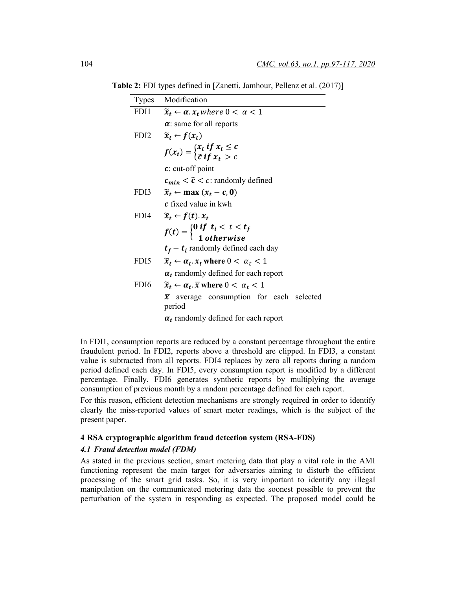**Table 2:** FDI types defined in [Zanetti, Jamhour, Pellenz et al. (2017)]

| <b>Types</b> | Modification                                                                                       |
|--------------|----------------------------------------------------------------------------------------------------|
| FDI1         | $\widetilde{x}_t \leftarrow \alpha$ . $x_t$ where $0 < \alpha < 1$                                 |
|              | $\alpha$ : same for all reports                                                                    |
| FDI2         | $\widetilde{x}_t \leftarrow f(x_t)$                                                                |
|              | $f(x_t) = \begin{cases} x_t & \text{if } x_t \leq c \\ \tilde{c} & \text{if } x_t > c \end{cases}$ |
|              | $\mathbf{c}$ : cut-off point                                                                       |
|              | $c_{min} < \tilde{c} < c$ : randomly defined                                                       |
| FDI3         | $\widetilde{x}_t \leftarrow \max(x_t - c, 0)$                                                      |
|              | <b>c</b> fixed value in kwh                                                                        |
| FDI4         | $\widetilde{x}_t \leftarrow f(t)$ . $x_t$                                                          |
|              | $f(t) = \begin{cases} 0 \text{ if } t_i < t < t_f \\ 1 \text{ otherwise} \end{cases}$              |
|              | $t_f - t_i$ randomly defined each day                                                              |
| FDI5         | $\widetilde{x}_t \leftarrow \alpha_t$ , $x_t$ where $0 < \alpha_t < 1$                             |
|              | $\alpha_t$ randomly defined for each report                                                        |
| FDI6         | $\widetilde{\mathbf{x}}_t \leftarrow \alpha_t$ . $\overline{x}$ where $0 < \alpha_t < 1$           |
|              | average consumption for each selected<br>$\bar{x}$<br>period                                       |
|              | $\alpha_t$ randomly defined for each report                                                        |

In FDI1, consumption reports are reduced by a constant percentage throughout the entire fraudulent period. In FDI2, reports above a threshold are clipped. In FDI3, a constant value is subtracted from all reports. FDI4 replaces by zero all reports during a random period defined each day. In FDI5, every consumption report is modified by a different percentage. Finally, FDI6 generates synthetic reports by multiplying the average consumption of previous month by a random percentage defined for each report.

For this reason, efficient detection mechanisms are strongly required in order to identify clearly the miss-reported values of smart meter readings, which is the subject of the present paper.

#### **4 RSA cryptographic algorithm fraud detection system (RSA-FDS)**

#### *4.1 Fraud detection model (FDM)*

As stated in the previous section, smart metering data that play a vital role in the AMI functioning represent the main target for adversaries aiming to disturb the efficient processing of the smart grid tasks. So, it is very important to identify any illegal manipulation on the communicated metering data the soonest possible to prevent the perturbation of the system in responding as expected. The proposed model could be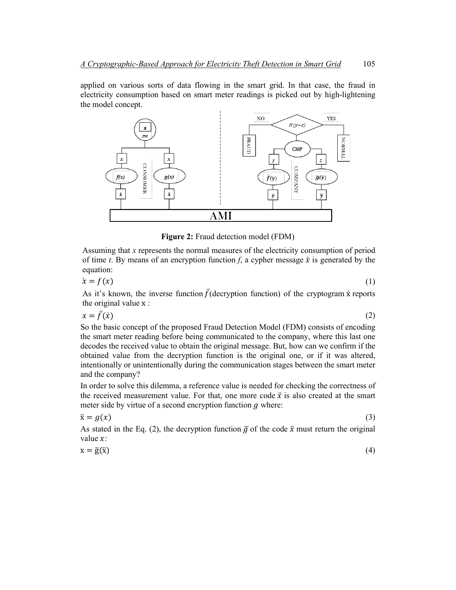applied on various sorts of data flowing in the smart grid. In that case, the fraud in electricity consumption based on smart meter readings is picked out by high-lightening the model concept.



**Figure 2:** Fraud detection model (FDM)

Assuming that *x* represents the normal measures of the electricity consumption of period of time *t*. By means of an encryption function *f*, a cypher message  $\dot{x}$  is generated by the equation:

$$
\dot{x} = f(x) \tag{1}
$$

As it's known, the inverse function  $\bar{f}$ (decryption function) of the cryptogram x reports the original value x :

$$
x = \bar{f}(\dot{x}) \tag{2}
$$

So the basic concept of the proposed Fraud Detection Model (FDM) consists of encoding the smart meter reading before being communicated to the company, where this last one decodes the received value to obtain the original message. But, how can we confirm if the obtained value from the decryption function is the original one, or if it was altered, intentionally or unintentionally during the communication stages between the smart meter and the company?

In order to solve this dilemma, a reference value is needed for checking the correctness of the received measurement value. For that, one more code  $\ddot{x}$  is also created at the smart meter side by virtue of a second encryption function  $g$  where:

$$
\ddot{\mathbf{x}} = g(x) \tag{3}
$$

As stated in the Eq. (2), the decryption function  $\overline{g}$  of the code  $\ddot{x}$  must return the original value  $x$ :

| (4) |
|-----|
|     |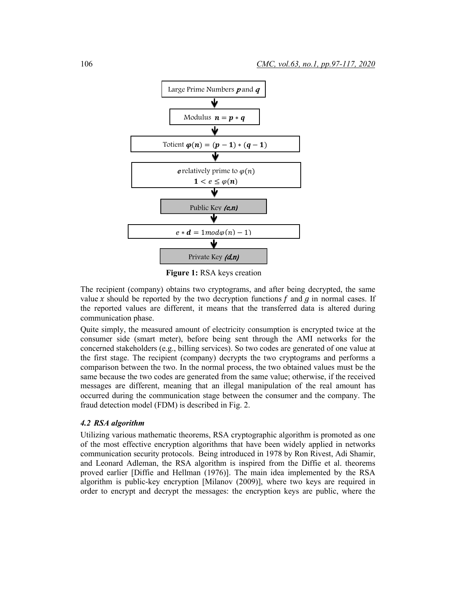

**Figure 1:** RSA keys creation

The recipient (company) obtains two cryptograms, and after being decrypted, the same value x should be reported by the two decryption functions f and g in normal cases. If the reported values are different, it means that the transferred data is altered during communication phase.

Quite simply, the measured amount of electricity consumption is encrypted twice at the consumer side (smart meter), before being sent through the AMI networks for the concerned stakeholders (e.g., billing services). So two codes are generated of one value at the first stage. The recipient (company) decrypts the two cryptograms and performs a comparison between the two. In the normal process, the two obtained values must be the same because the two codes are generated from the same value; otherwise, if the received messages are different, meaning that an illegal manipulation of the real amount has occurred during the communication stage between the consumer and the company. The fraud detection model (FDM) is described in Fig. 2.

#### *4.2 RSA algorithm*

Utilizing various mathematic theorems, RSA cryptographic algorithm is promoted as one of the most effective encryption algorithms that have been widely applied in networks communication security protocols. Being introduced in 1978 by Ron Rivest, Adi Shamir, and Leonard Adleman, the RSA algorithm is inspired from the Diffie et al. theorems proved earlier [Diffie and Hellman (1976)]. The main idea implemented by the RSA algorithm is public-key encryption [Milanov (2009)], where two keys are required in order to encrypt and decrypt the messages: the encryption keys are public, where the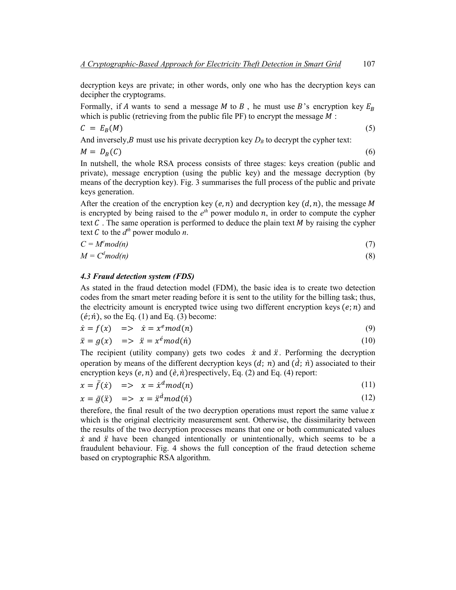decryption keys are private; in other words, only one who has the decryption keys can decipher the cryptograms.

Formally, if A wants to send a message M to B, he must use B's encryption key  $E_B$ which is public (retrieving from the public file PF) to encrypt the message  $M$ :

$$
C = E_B(M) \tag{5}
$$

And inversely, *B* must use his private decryption key  $D_B$  to decrypt the cypher text:

$$
M = D_B(C) \tag{6}
$$

In nutshell, the whole RSA process consists of three stages: keys creation (public and private), message encryption (using the public key) and the message decryption (by means of the decryption key). Fig. 3 summarises the full process of the public and private keys generation.

After the creation of the encryption key  $(e, n)$  and decryption key  $(d, n)$ , the message M is encrypted by being raised to the  $e^{th}$  power modulo n, in order to compute the cypher text  $C$ . The same operation is performed to deduce the plain text  $M$  by raising the cypher text  $C$  to the  $d^{th}$  power modulo  $n$ .

$$
C = M^e \mod(n) \tag{7}
$$

$$
M = Cd mod(n)
$$
 (8)

#### *4.3 Fraud detection system (FDS)*

As stated in the fraud detection model (FDM), the basic idea is to create two detection codes from the smart meter reading before it is sent to the utility for the billing task; thus, the electricity amount is encrypted twice using two different encryption keys  $(e; n)$  and  $(\acute{e}; \acute{n})$ , so the Eq. (1) and Eq. (3) become:

$$
\dot{x} = f(x) \quad \Rightarrow \quad \dot{x} = x^e \mod(n) \tag{9}
$$

$$
\ddot{x} = g(x) \quad \Rightarrow \quad \ddot{x} = x^{\dot{e}} \text{mod}(\dot{n}) \tag{10}
$$

The recipient (utility company) gets two codes  $\dot{x}$  and  $\ddot{x}$ . Performing the decryption operation by means of the different decryption keys  $(d; n)$  and  $(d; n)$  associated to their encryption keys  $(e, n)$  and  $(\dot{e}, \dot{n})$ respectively, Eq. (2) and Eq. (4) report:

$$
x = \bar{f}(\dot{x}) \quad \Rightarrow \quad x = \dot{x}^d \mod(n) \tag{11}
$$

$$
x = \bar{g}(\ddot{x}) \quad \Rightarrow \quad x = \ddot{x}^{\dot{a}} \mod(\dot{n}) \tag{12}
$$

therefore, the final result of the two decryption operations must report the same value  $x$ which is the original electricity measurement sent. Otherwise, the dissimilarity between the results of the two decryption processes means that one or both communicated values  $\dot{x}$  and  $\ddot{x}$  have been changed intentionally or unintentionally, which seems to be a fraudulent behaviour. Fig. 4 shows the full conception of the fraud detection scheme based on cryptographic RSA algorithm.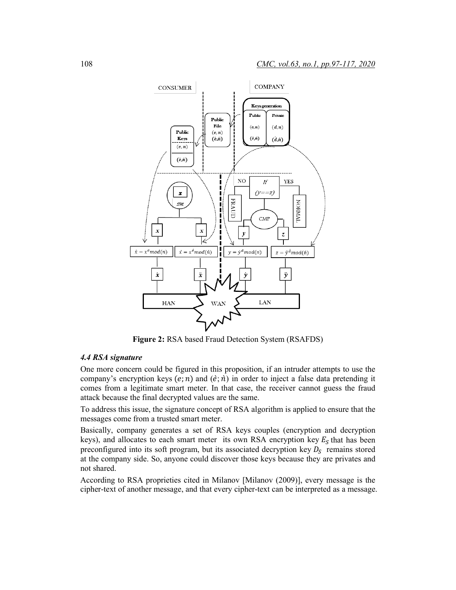

**Figure 2:** RSA based Fraud Detection System (RSAFDS)

## *4.4 RSA signature*

One more concern could be figured in this proposition, if an intruder attempts to use the company's encryption keys (e; n) and (e; n) in order to inject a false data pretending it comes from a legitimate smart meter. In that case, the receiver cannot guess the fraud attack because the final decrypted values are the same.

To address this issue, the signature concept of RSA algorithm is applied to ensure that the messages come from a trusted smart meter.

Basically, company generates a set of RSA keys couples (encryption and decryption keys), and allocates to each smart meter its own RSA encryption key  $E<sub>S</sub>$  that has been preconfigured into its soft program, but its associated decryption key  $D_s$  remains stored at the company side. So, anyone could discover those keys because they are privates and not shared.

According to RSA proprieties cited in Milanov [Milanov (2009)], every message is the cipher-text of another message, and that every cipher-text can be interpreted as a message.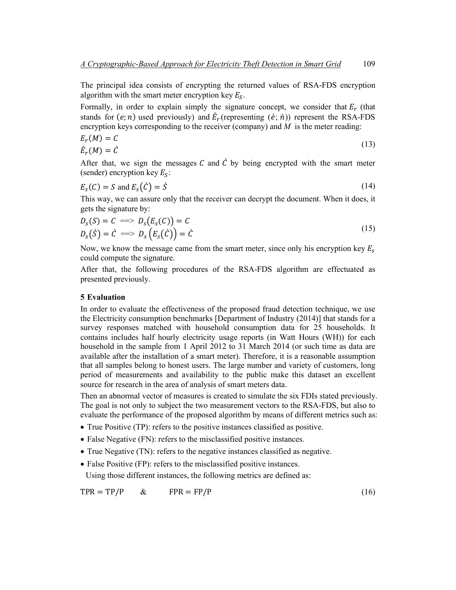The principal idea consists of encrypting the returned values of RSA-FDS encryption algorithm with the smart meter encryption key  $E_s$ .

Formally, in order to explain simply the signature concept, we consider that  $E_r$  (that stands for  $(e; n)$  used previously) and  $\vec{E}_r$  (representing  $(\vec{e}; \vec{n})$ ) represent the RSA-FDS encryption keys corresponding to the receiver (company) and *M* is the meter reading:

$$
E_r(M) = C
$$
  
\n
$$
\dot{E}_r(M) = \dot{C}
$$
\n(13)

After that, we sign the messages C and  $\hat{C}$  by being encrypted with the smart meter (sender) encryption key  $E_s$ :

$$
E_s(C) = S \text{ and } E_s(\hat{C}) = \hat{S}
$$
\n(14)

This way, we can assure only that the receiver can decrypt the document. When it does, it gets the signature by:

$$
Ds(S) = C \implies Ds(Es(C)) = C
$$
  
\n
$$
Ds(S) = C \implies Ds(Es(C)) = C
$$
 (15)

Now, we know the message came from the smart meter, since only his encryption key  $E_s$ could compute the signature.

After that, the following procedures of the RSA-FDS algorithm are effectuated as presented previously.

#### **5 Evaluation**

In order to evaluate the effectiveness of the proposed fraud detection technique, we use the Electricity consumption benchmarks [Department of Industry (2014)] that stands for a survey responses matched with household consumption data for 25 households. It contains includes half hourly electricity usage reports (in Watt Hours (WH)) for each household in the sample from 1 April 2012 to 31 March 2014 (or such time as data are available after the installation of a smart meter). Therefore, it is a reasonable assumption that all samples belong to honest users. The large number and variety of customers, long period of measurements and availability to the public make this dataset an excellent source for research in the area of analysis of smart meters data.

Then an abnormal vector of measures is created to simulate the six FDIs stated previously. The goal is not only to subject the two measurement vectors to the RSA-FDS, but also to evaluate the performance of the proposed algorithm by means of different metrics such as:

- True Positive (TP): refers to the positive instances classified as positive.
- False Negative (FN): refers to the misclassified positive instances.
- True Negative (TN): refers to the negative instances classified as negative.
- False Positive (FP): refers to the misclassified positive instances.

Using those different instances, the following metrics are defined as:

$$
TPR = TP/P \qquad & \qquad FPR = FP/P \tag{16}
$$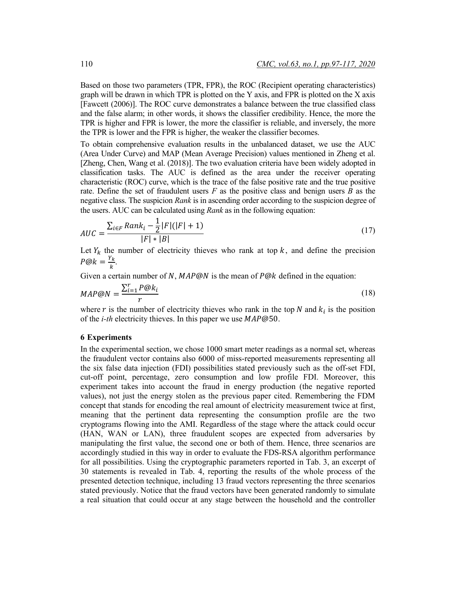Based on those two parameters (TPR, FPR), the ROC (Recipient operating characteristics) graph will be drawn in which TPR is plotted on the Y axis, and FPR is plotted on the X axis [Fawcett (2006)]. The ROC curve demonstrates a balance between the true classified class and the false alarm; in other words, it shows the classifier credibility. Hence, the more the TPR is higher and FPR is lower, the more the classifier is reliable, and inversely, the more the TPR is lower and the FPR is higher, the weaker the classifier becomes.

To obtain comprehensive evaluation results in the unbalanced dataset, we use the AUC (Area Under Curve) and MAP (Mean Average Precision) values mentioned in Zheng et al. [Zheng, Chen, Wang et al. (2018)]. The two evaluation criteria have been widely adopted in classification tasks. The AUC is defined as the area under the receiver operating characteristic (ROC) curve, which is the trace of the false positive rate and the true positive rate. Define the set of fraudulent users *F* as the positive class and benign users *B* as the negative class. The suspicion *Rank* is in ascending order according to the suspicion degree of the users. AUC can be calculated using *Rank* as in the following equation:

$$
AUC = \frac{\sum_{i \in F} Rank_i - \frac{1}{2}|F|(|F|+1)}{|F| * |B|}
$$
(17)

Let  $Y_k$  the number of electricity thieves who rank at top  $k$ , and define the precision  $P@k = \frac{Y_k}{k}.$ 

Given a certain number of N,  $MAP@N$  is the mean of  $P@k$  defined in the equation:

$$
MAP@N = \frac{\sum_{i=1}^{r} P@k_i}{r}
$$
\n
$$
(18)
$$

where r is the number of electricity thieves who rank in the top  $N$  and  $k_i$  is the position of the *i-th* electricity thieves. In this paper we use  $MAP@50$ .

#### **6 Experiments**

In the experimental section, we chose 1000 smart meter readings as a normal set, whereas the fraudulent vector contains also 6000 of miss-reported measurements representing all the six false data injection (FDI) possibilities stated previously such as the off-set FDI, cut-off point, percentage, zero consumption and low profile FDI. Moreover, this experiment takes into account the fraud in energy production (the negative reported values), not just the energy stolen as the previous paper cited. Remembering the FDM concept that stands for encoding the real amount of electricity measurement twice at first, meaning that the pertinent data representing the consumption profile are the two cryptograms flowing into the AMI. Regardless of the stage where the attack could occur (HAN, WAN or LAN), three fraudulent scopes are expected from adversaries by manipulating the first value, the second one or both of them. Hence, three scenarios are accordingly studied in this way in order to evaluate the FDS-RSA algorithm performance for all possibilities. Using the cryptographic parameters reported in Tab. 3, an excerpt of 30 statements is revealed in Tab. 4, reporting the results of the whole process of the presented detection technique, including 13 fraud vectors representing the three scenarios stated previously. Notice that the fraud vectors have been generated randomly to simulate a real situation that could occur at any stage between the household and the controller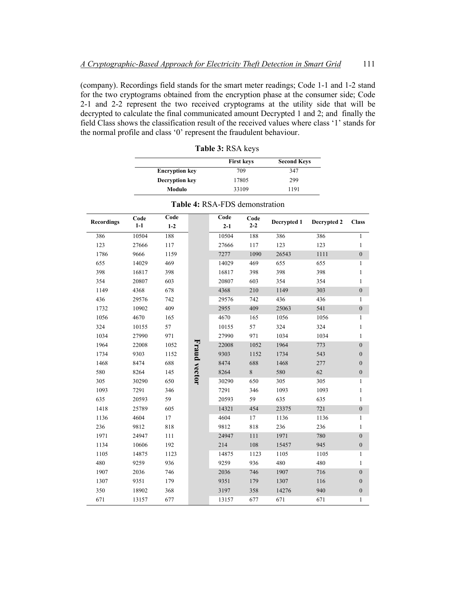(company). Recordings field stands for the smart meter readings; Code 1-1 and 1-2 stand for the two cryptograms obtained from the encryption phase at the consumer side; Code 2-1 and 2-2 represent the two received cryptograms at the utility side that will be decrypted to calculate the final communicated amount Decrypted 1 and 2; and finally the field Class shows the classification result of the received values where class '1' stands for the normal profile and class '0' represent the fraudulent behaviour.

|                       | <b>First keys</b> | <b>Second Keys</b> |  |
|-----------------------|-------------------|--------------------|--|
| <b>Encryption key</b> | 709               | 347                |  |
| <b>Decryption key</b> | 17805             | 299                |  |
| Modulo                | 33109             | 1191               |  |

**Table 3:** RSA keys

| <b>Recordings</b> | Code<br>$1-1$ | Code<br>$1-2$ |              | Code<br>$2 - 1$ | Code<br>$2 - 2$ | Decrypted 1 | Decrypted 2 | <b>Class</b>     |
|-------------------|---------------|---------------|--------------|-----------------|-----------------|-------------|-------------|------------------|
| 386               | 10504         | 188           |              | 10504           | 188             | 386         | 386         | 1                |
| 123               | 27666         | 117           |              | 27666           | 117             | 123         | 123         | 1                |
| 1786              | 9666          | 1159          |              | 7277            | 1090            | 26543       | 1111        | $\boldsymbol{0}$ |
| 655               | 14029         | 469           |              | 14029           | 469             | 655         | 655         | 1                |
| 398               | 16817         | 398           |              | 16817           | 398             | 398         | 398         | 1                |
| 354               | 20807         | 603           |              | 20807           | 603             | 354         | 354         | 1                |
| 1149              | 4368          | 678           |              | 4368            | 210             | 1149        | 303         | $\boldsymbol{0}$ |
| 436               | 29576         | 742           |              | 29576           | 742             | 436         | 436         | 1                |
| 1732              | 10902         | 409           |              | 2955            | 409             | 25063       | 541         | $\boldsymbol{0}$ |
| 1056              | 4670          | 165           |              | 4670            | 165             | 1056        | 1056        | 1                |
| 324               | 10155         | 57            |              | 10155           | 57              | 324         | 324         | 1                |
| 1034              | 27990         | 971           |              | 27990           | 971             | 1034        | 1034        | 1                |
| 1964              | 22008         | 1052          |              | 22008           | 1052            | 1964        | 773         | $\overline{0}$   |
| 1734              | 9303          | 1152          |              | 9303            | 1152            | 1734        | 543         | $\boldsymbol{0}$ |
| 1468              | 8474          | 688           |              | 8474            | 688             | 1468        | 277         | $\mathbf{0}$     |
| 580               | 8264          | 145           | Fraud vector | 8264            | $\,8\,$         | 580         | 62          | $\boldsymbol{0}$ |
| 305               | 30290         | 650           |              | 30290           | 650             | 305         | 305         | 1                |
| 1093              | 7291          | 346           |              | 7291            | 346             | 1093        | 1093        | 1                |
| 635               | 20593         | 59            |              | 20593           | 59              | 635         | 635         | 1                |
| 1418              | 25789         | 605           |              | 14321           | 454             | 23375       | 721         | $\boldsymbol{0}$ |
| 1136              | 4604          | 17            |              | 4604            | 17              | 1136        | 1136        | 1                |
| 236               | 9812          | 818           |              | 9812            | 818             | 236         | 236         | 1                |
| 1971              | 24947         | 111           |              | 24947           | 111             | 1971        | 780         | $\boldsymbol{0}$ |
| 1134              | 10606         | 192           |              | 214             | 108             | 15457       | 945         | $\boldsymbol{0}$ |
| 1105              | 14875         | 1123          |              | 14875           | 1123            | 1105        | 1105        | 1                |
| 480               | 9259          | 936           |              | 9259            | 936             | 480         | 480         | 1                |
| 1907              | 2036          | 746           |              | 2036            | 746             | 1907        | 716         | $\boldsymbol{0}$ |
| 1307              | 9351          | 179           |              | 9351            | 179             | 1307        | 116         | $\boldsymbol{0}$ |
| 350               | 18902         | 368           |              | 3197            | 358             | 14276       | 940         | $\boldsymbol{0}$ |
| 671               | 13157         | 677           |              | 13157           | 677             | 671         | 671         | 1                |

**Table 4:** RSA-FDS demonstration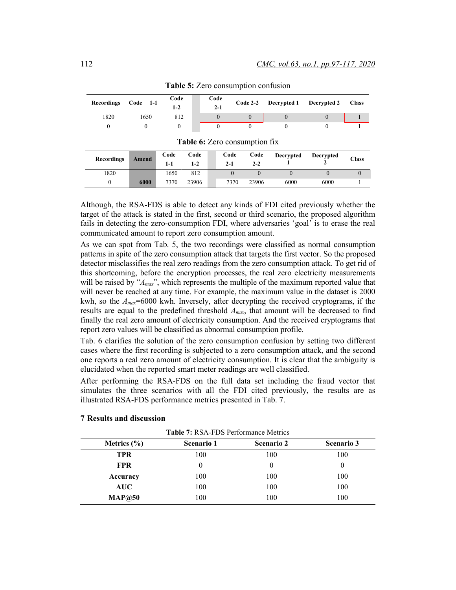| <b>Recordings</b> | $Code$ 1-1 | Code<br>1-2 | Code<br>$2 - 1$ |  | Code 2-2 Decrypted 1 Decrypted 2 Class |  |
|-------------------|------------|-------------|-----------------|--|----------------------------------------|--|
| 1820              | 650        | 812         |                 |  |                                        |  |
|                   |            |             |                 |  |                                        |  |

**Table 6:** Zero consumption fix

**Table 5:** Zero consumption confusion

| <b>rapic 0.</b> <i>E</i> CTO CONSUMPTION 11A |       |             |                 |  |                 |                 |                  |                  |       |
|----------------------------------------------|-------|-------------|-----------------|--|-----------------|-----------------|------------------|------------------|-------|
| <b>Recordings</b>                            | Amend | Code<br>1-1 | Code<br>$1 - 2$ |  | Code<br>$2 - 1$ | Code<br>$2 - 2$ | <b>Decrypted</b> | <b>Decrypted</b> | Class |
| 1820                                         |       | 1650        | 812             |  |                 |                 |                  |                  |       |
|                                              | 6000  | 7370        | 23906           |  | 7370            | 23906           | 6000             | 6000             |       |

Although, the RSA-FDS is able to detect any kinds of FDI cited previously whether the target of the attack is stated in the first, second or third scenario, the proposed algorithm fails in detecting the zero-consumption FDI, where adversaries 'goal' is to erase the real communicated amount to report zero consumption amount.

As we can spot from Tab. 5, the two recordings were classified as normal consumption patterns in spite of the zero consumption attack that targets the first vector. So the proposed detector misclassifies the real zero readings from the zero consumption attack. To get rid of this shortcoming, before the encryption processes, the real zero electricity measurements will be raised by " $A_{max}$ ", which represents the multiple of the maximum reported value that will never be reached at any time. For example, the maximum value in the dataset is 2000 kwh, so the  $A_{max}$ =6000 kwh. Inversely, after decrypting the received cryptograms, if the results are equal to the predefined threshold *Amax*, that amount will be decreased to find finally the real zero amount of electricity consumption. And the received cryptograms that report zero values will be classified as abnormal consumption profile.

Tab. 6 clarifies the solution of the zero consumption confusion by setting two different cases where the first recording is subjected to a zero consumption attack, and the second one reports a real zero amount of electricity consumption. It is clear that the ambiguity is elucidated when the reported smart meter readings are well classified.

After performing the RSA-FDS on the full data set including the fraud vector that simulates the three scenarios with all the FDI cited previously, the results are as illustrated RSA-FDS performance metrics presented in Tab. 7.

| <b>Table 7: RSA-FDS Performance Metrics</b> |            |                   |                   |  |  |  |  |
|---------------------------------------------|------------|-------------------|-------------------|--|--|--|--|
| Metrics $(\% )$                             | Scenario 1 | <b>Scenario 2</b> | <b>Scenario 3</b> |  |  |  |  |
| <b>TPR</b>                                  | 100        | 100               | 100               |  |  |  |  |
| <b>FPR</b>                                  | 0          | $\theta$          | $\theta$          |  |  |  |  |
| Accuracy                                    | 100        | 100               | 100               |  |  |  |  |
| <b>AUC</b>                                  | 100        | 100               | 100               |  |  |  |  |
| MAP@50                                      | 100        | 100               | 100               |  |  |  |  |

# **7 Results and discussion**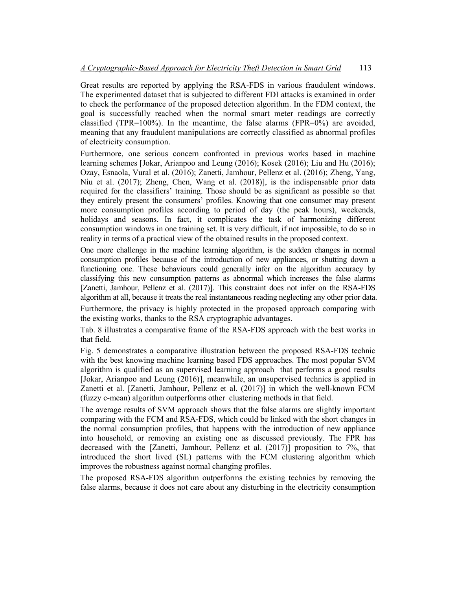Great results are reported by applying the RSA-FDS in various fraudulent windows. The experimented dataset that is subjected to different FDI attacks is examined in order to check the performance of the proposed detection algorithm. In the FDM context, the goal is successfully reached when the normal smart meter readings are correctly classified (TPR=100%). In the meantime, the false alarms (FPR=0%) are avoided, meaning that any fraudulent manipulations are correctly classified as abnormal profiles of electricity consumption.

Furthermore, one serious concern confronted in previous works based in machine learning schemes [Jokar, Arianpoo and Leung (2016); Kosek (2016); Liu and Hu (2016); Ozay, Esnaola, Vural et al. (2016); Zanetti, Jamhour, Pellenz et al. (2016); Zheng, Yang, Niu et al. (2017); Zheng, Chen, Wang et al. (2018)], is the indispensable prior data required for the classifiers' training. Those should be as significant as possible so that they entirely present the consumers' profiles. Knowing that one consumer may present more consumption profiles according to period of day (the peak hours), weekends, holidays and seasons. In fact, it complicates the task of harmonizing different consumption windows in one training set. It is very difficult, if not impossible, to do so in reality in terms of a practical view of the obtained results in the proposed context.

One more challenge in the machine learning algorithm, is the sudden changes in normal consumption profiles because of the introduction of new appliances, or shutting down a functioning one. These behaviours could generally infer on the algorithm accuracy by classifying this new consumption patterns as abnormal which increases the false alarms [Zanetti, Jamhour, Pellenz et al. (2017)]. This constraint does not infer on the RSA-FDS algorithm at all, because it treats the real instantaneous reading neglecting any other prior data. Furthermore, the privacy is highly protected in the proposed approach comparing with the existing works, thanks to the RSA cryptographic advantages.

Tab. 8 illustrates a comparative frame of the RSA-FDS approach with the best works in that field.

Fig. 5 demonstrates a comparative illustration between the proposed RSA-FDS technic with the best knowing machine learning based FDS approaches. The most popular SVM algorithm is qualified as an supervised learning approach that performs a good results [Jokar, Arianpoo and Leung (2016)], meanwhile, an unsupervised technics is applied in Zanetti et al. [Zanetti, Jamhour, Pellenz et al. (2017)] in which the well-known FCM (fuzzy c-mean) algorithm outperforms other clustering methods in that field.

The average results of SVM approach shows that the false alarms are slightly important comparing with the FCM and RSA-FDS, which could be linked with the short changes in the normal consumption profiles, that happens with the introduction of new appliance into household, or removing an existing one as discussed previously. The FPR has decreased with the [Zanetti, Jamhour, Pellenz et al. (2017)] proposition to 7%, that introduced the short lived (SL) patterns with the FCM clustering algorithm which improves the robustness against normal changing profiles.

The proposed RSA-FDS algorithm outperforms the existing technics by removing the false alarms, because it does not care about any disturbing in the electricity consumption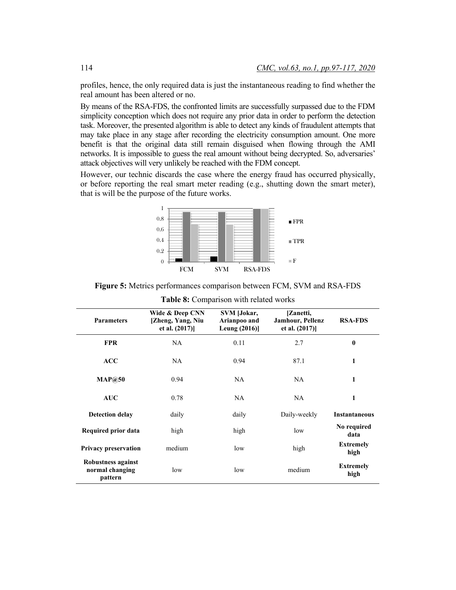profiles, hence, the only required data is just the instantaneous reading to find whether the real amount has been altered or no.

By means of the RSA-FDS, the confronted limits are successfully surpassed due to the FDM simplicity conception which does not require any prior data in order to perform the detection task. Moreover, the presented algorithm is able to detect any kinds of fraudulent attempts that may take place in any stage after recording the electricity consumption amount. One more benefit is that the original data still remain disguised when flowing through the AMI networks. It is impossible to guess the real amount without being decrypted. So, adversaries' attack objectives will very unlikely be reached with the FDM concept.

However, our technic discards the case where the energy fraud has occurred physically, or before reporting the real smart meter reading (e.g., shutting down the smart meter), that is will be the purpose of the future works.



**Figure 5:** Metrics performances comparison between FCM, SVM and RSA-FDS

| <b>Parameters</b>                                | Wide & Deep CNN<br>[Zheng, Yang, Niu<br>et al. (2017)] | SVM [Jokar,<br>Arianpoo and<br>Leung $(2016)$ | [Zanetti,<br><b>Jamhour, Pellenz</b><br>et al. $(2017)$ ] | <b>RSA-FDS</b>           |
|--------------------------------------------------|--------------------------------------------------------|-----------------------------------------------|-----------------------------------------------------------|--------------------------|
| <b>FPR</b>                                       | NA.                                                    | 0.11                                          | 2.7                                                       | $\bf{0}$                 |
| <b>ACC</b>                                       | NA.                                                    | 0.94                                          | 87.1                                                      | 1                        |
| MAP@50                                           | 0.94                                                   | NA.                                           | NA.                                                       | 1                        |
| <b>AUC</b>                                       | 0.78                                                   | NA.                                           | NA.                                                       | 1                        |
| <b>Detection delay</b>                           | daily                                                  | daily                                         | Daily-weekly                                              | <b>Instantaneous</b>     |
| Required prior data                              | high                                                   | high                                          | low                                                       | No required<br>data      |
| <b>Privacy preservation</b>                      | medium                                                 | low                                           | high                                                      | <b>Extremely</b><br>high |
| Robustness against<br>normal changing<br>pattern | low                                                    | low                                           | medium                                                    | <b>Extremely</b><br>high |

**Table 8:** Comparison with related works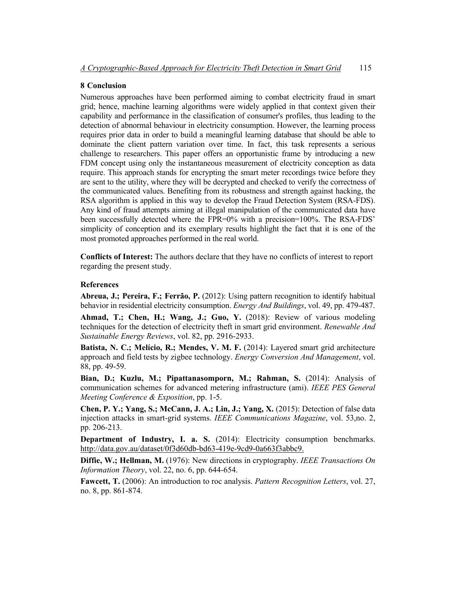### **8 Conclusion**

Numerous approaches have been performed aiming to combat electricity fraud in smart grid; hence, machine learning algorithms were widely applied in that context given their capability and performance in the classification of consumer's profiles, thus leading to the detection of abnormal behaviour in electricity consumption. However, the learning process requires prior data in order to build a meaningful learning database that should be able to dominate the client pattern variation over time. In fact, this task represents a serious challenge to researchers. This paper offers an opportunistic frame by introducing a new FDM concept using only the instantaneous measurement of electricity conception as data require. This approach stands for encrypting the smart meter recordings twice before they are sent to the utility, where they will be decrypted and checked to verify the correctness of the communicated values. Benefiting from its robustness and strength against hacking, the RSA algorithm is applied in this way to develop the Fraud Detection System (RSA-FDS). Any kind of fraud attempts aiming at illegal manipulation of the communicated data have been successfully detected where the FPR=0% with a precision=100%. The RSA-FDS' simplicity of conception and its exemplary results highlight the fact that it is one of the most promoted approaches performed in the real world.

**Conflicts of Interest:** The authors declare that they have no conflicts of interest to report regarding the present study.

#### **References**

**Abreua, J.; Pereira, F.; Ferrão, P.** (2012): Using pattern recognition to identify habitual behavior in residential electricity consumption. *Energy And Buildings*, vol. 49, pp. 479-487.

**Ahmad, T.; Chen, H.; Wang, J.; Guo, Y.** (2018): Review of various modeling techniques for the detection of electricity theft in smart grid environment. *Renewable And Sustainable Energy Reviews*, vol. 82, pp. 2916-2933.

**Batista, N. C.; Melício, R.; Mendes, V. M. F.** (2014): Layered smart grid architecture approach and field tests by zigbee technology. *Energy Conversion And Management*, vol. 88, pp. 49-59.

**Bian, D.; Kuzlu, M.; Pipattanasomporn, M.; Rahman, S.** (2014): Analysis of communication schemes for advanced metering infrastructure (ami). *IEEE PES General Meeting Conference & Exposition*, pp. 1-5.

**Chen, P. Y.; Yang, S.; McCann, J. A.; Lin, J.; Yang, X.** (2015): Detection of false data injection attacks in smart-grid systems. *IEEE Communications Magazine*, vol. 53,no. 2, pp. 206-213.

**Department of Industry, I. a. S.** (2014): Electricity consumption benchmarks. http://data.gov.au/dataset/0f3d60db-bd63-419e-9cd9-0a663f3abbc9.

**Diffie, W.; Hellman, M.** (1976): New directions in cryptography. *IEEE Transactions On Information Theory*, vol. 22, no. 6, pp. 644-654.

**Fawcett, T.** (2006): An introduction to roc analysis. *Pattern Recognition Letters*, vol. 27, no. 8, pp. 861-874.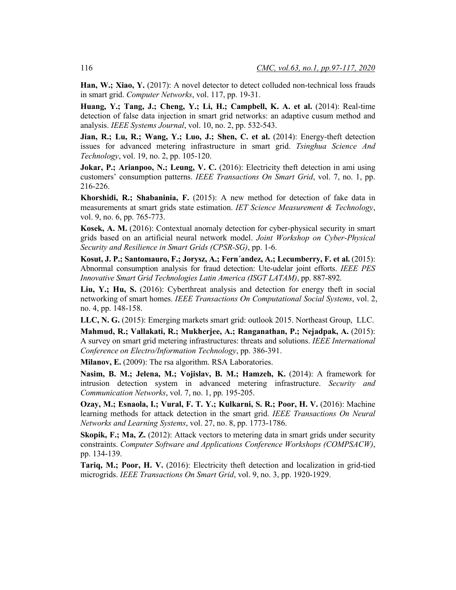Han, W.; Xiao, Y. (2017): A novel detector to detect colluded non-technical loss frauds in smart grid. *Computer Networks*, vol. 117, pp. 19-31.

**Huang, Y.; Tang, J.; Cheng, Y.; Li, H.; Campbell, K. A. et al.** (2014): Real-time detection of false data injection in smart grid networks: an adaptive cusum method and analysis. *IEEE Systems Journal*, vol. 10, no. 2, pp. 532-543.

**Jian, R.; Lu, R.; Wang, Y.; Luo, J.; Shen, C. et al.** (2014): Energy-theft detection issues for advanced metering infrastructure in smart grid. *Tsinghua Science And Technology*, vol. 19, no. 2, pp. 105-120.

**Jokar, P.; Arianpoo, N.; Leung, V. C.** (2016): Electricity theft detection in ami using customers' consumption patterns. *IEEE Transactions On Smart Grid*, vol. 7, no. 1, pp. 216-226.

**Khorshidi, R.; Shabaninia, F.** (2015): A new method for detection of fake data in measurements at smart grids state estimation. *IET Science Measurement & Technology*, vol. 9, no. 6, pp. 765-773.

**Kosek, A. M.** (2016): Contextual anomaly detection for cyber-physical security in smart grids based on an artificial neural network model. *Joint Workshop on Cyber-Physical Security and Resilience in Smart Grids (CPSR-SG)*, pp. 1-6.

**Kosut, J. P.; Santomauro, F.; Jorysz, A.; Fern´andez, A.; Lecumberry, F. et al.** (2015): Abnormal consumption analysis for fraud detection: Ute-udelar joint efforts. *IEEE PES Innovative Smart Grid Technologies Latin America (ISGT LATAM)*, pp. 887-892.

**Liu, Y.; Hu, S.** (2016): Cyberthreat analysis and detection for energy theft in social networking of smart homes. *IEEE Transactions On Computational Social Systems*, vol. 2, no. 4, pp. 148-158.

**LLC, N. G.** (2015): Emerging markets smart grid: outlook 2015. Northeast Group, LLC.

**Mahmud, R.; Vallakati, R.; Mukherjee, A.; Ranganathan, P.; Nejadpak, A.** (2015): A survey on smart grid metering infrastructures: threats and solutions. *IEEE International Conference on Electro/Information Technology*, pp. 386-391.

**Milanov, E.** (2009): The rsa algorithm. RSA Laboratories.

**Nasim, B. M.; Jelena, M.; Vojislav, B. M.; Hamzeh, K.** (2014): A framework for intrusion detection system in advanced metering infrastructure. *Security and Communication Networks*, vol. 7, no. 1, pp. 195-205.

**Ozay, M.; Esnaola, I.; Vural, F. T. Y.; Kulkarni, S. R.; Poor, H. V.** (2016): Machine learning methods for attack detection in the smart grid. *IEEE Transactions On Neural Networks and Learning Systems*, vol. 27, no. 8, pp. 1773-1786.

**Skopik, F.; Ma, Z.** (2012): Attack vectors to metering data in smart grids under security constraints. *Computer Software and Applications Conference Workshops (COMPSACW)*, pp. 134-139.

**Tariq, M.; Poor, H. V.** (2016): Electricity theft detection and localization in grid-tied microgrids. *IEEE Transactions On Smart Grid*, vol. 9, no. 3, pp. 1920-1929.